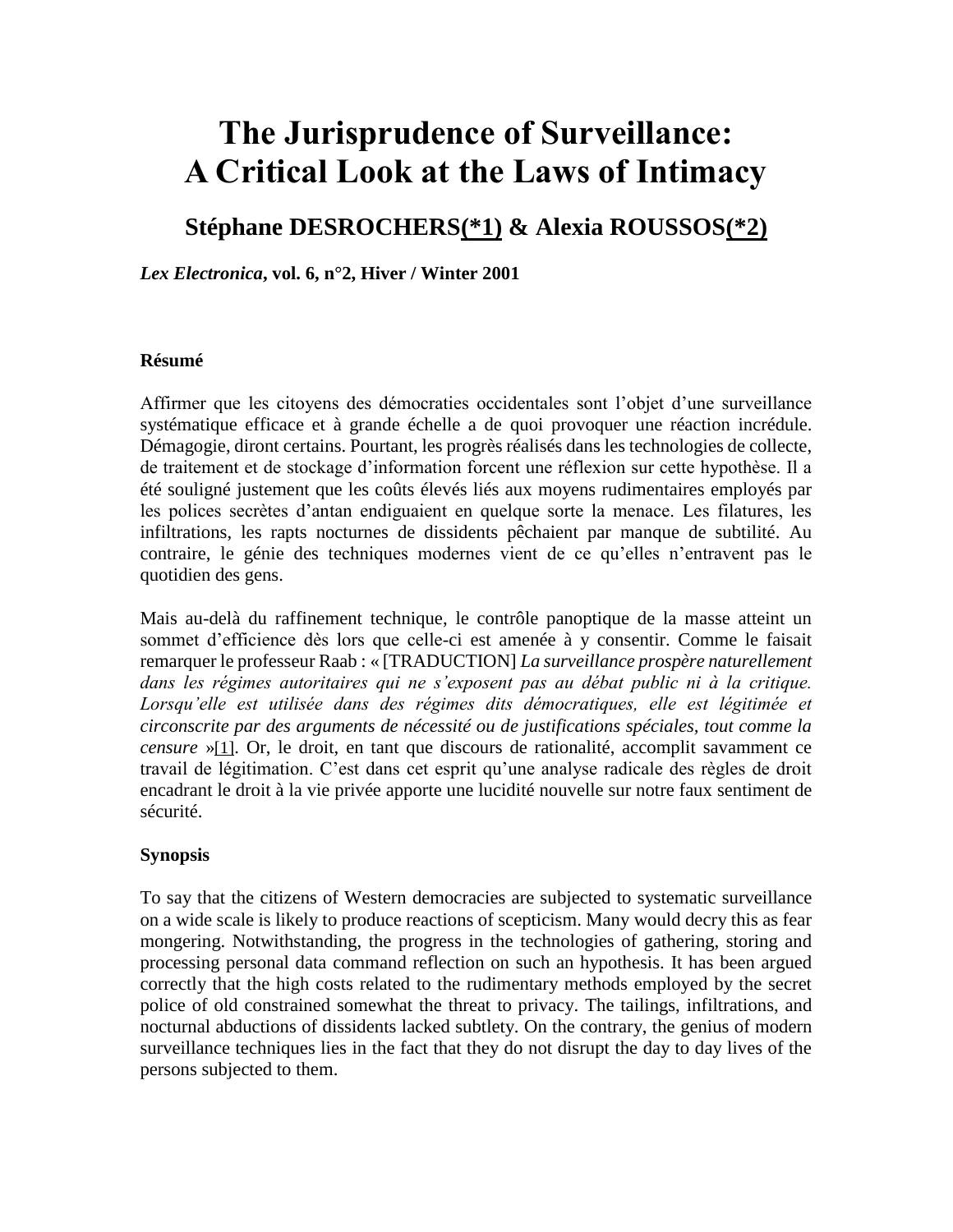# **The Jurisprudence of Surveillance: A Critical Look at the Laws of Intimacy**

# **Stéphane DESROCHER[S\(\\*1\)](http://www.lex-electronica.org/docs/articles_154.htm#_ftn1) & Alexia ROUSSO[S\(\\*2\)](http://www.lex-electronica.org/docs/articles_154.htm#_ftn2)**

*Lex Electronica***, vol. 6, n°2, Hiver / Winter 2001**

#### **Résumé**

Affirmer que les citoyens des démocraties occidentales sont l'objet d'une surveillance systématique efficace et à grande échelle a de quoi provoquer une réaction incrédule. Démagogie, diront certains. Pourtant, les progrès réalisés dans les technologies de collecte, de traitement et de stockage d'information forcent une réflexion sur cette hypothèse. Il a été souligné justement que les coûts élevés liés aux moyens rudimentaires employés par les polices secrètes d'antan endiguaient en quelque sorte la menace. Les filatures, les infiltrations, les rapts nocturnes de dissidents pêchaient par manque de subtilité. Au contraire, le génie des techniques modernes vient de ce qu'elles n'entravent pas le quotidien des gens.

Mais au-delà du raffinement technique, le contrôle panoptique de la masse atteint un sommet d'efficience dès lors que celle-ci est amenée à y consentir. Comme le faisait remarquer le professeur Raab : « [TRADUCTION] *La surveillance prospère naturellement dans les régimes autoritaires qui ne s'exposent pas au débat public ni à la critique. Lorsqu'elle est utilisée dans des régimes dits démocratiques, elle est légitimée et circonscrite par des arguments de nécessité ou de justifications spéciales, tout comme la censure* »[\[1\]](http://www.lex-electronica.org/docs/articles_154.htm#_ftn3). Or, le droit, en tant que discours de rationalité, accomplit savamment ce travail de légitimation. C'est dans cet esprit qu'une analyse radicale des règles de droit encadrant le droit à la vie privée apporte une lucidité nouvelle sur notre faux sentiment de sécurité.

#### **Synopsis**

To say that the citizens of Western democracies are subjected to systematic surveillance on a wide scale is likely to produce reactions of scepticism. Many would decry this as fear mongering. Notwithstanding, the progress in the technologies of gathering, storing and processing personal data command reflection on such an hypothesis. It has been argued correctly that the high costs related to the rudimentary methods employed by the secret police of old constrained somewhat the threat to privacy. The tailings, infiltrations, and nocturnal abductions of dissidents lacked subtlety. On the contrary, the genius of modern surveillance techniques lies in the fact that they do not disrupt the day to day lives of the persons subjected to them.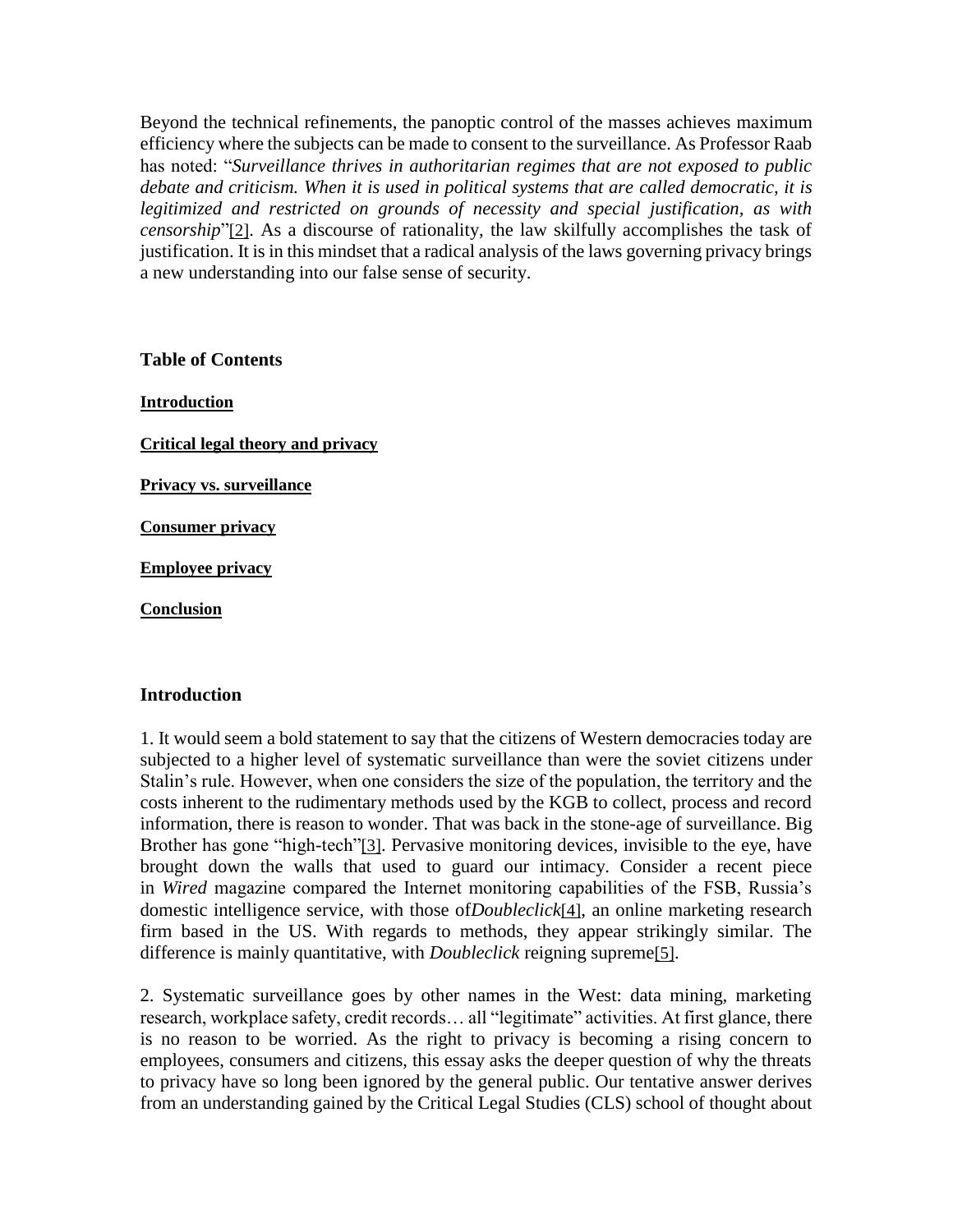Beyond the technical refinements, the panoptic control of the masses achieves maximum efficiency where the subjects can be made to consent to the surveillance. As Professor Raab has noted: "*Surveillance thrives in authoritarian regimes that are not exposed to public debate and criticism. When it is used in political systems that are called democratic, it is legitimized and restricted on grounds of necessity and special justification, as with censorship*"[\[2\]](http://www.lex-electronica.org/docs/articles_154.htm#_ftn4). As a discourse of rationality, the law skilfully accomplishes the task of justification. It is in this mindset that a radical analysis of the laws governing privacy brings a new understanding into our false sense of security.

**Table of Contents**

**[Introduction](http://www.lex-electronica.org/docs/articles_154.htm#introduction) [Critical legal theory and privacy](http://www.lex-electronica.org/docs/articles_154.htm#1) [Privacy vs. surveillance](http://www.lex-electronica.org/docs/articles_154.htm#2) [Consumer privacy](http://www.lex-electronica.org/docs/articles_154.htm#3) [Employee privacy](http://www.lex-electronica.org/docs/articles_154.htm#4) [Conclusion](http://www.lex-electronica.org/docs/articles_154.htm#conclusion)**

#### **Introduction**

1. It would seem a bold statement to say that the citizens of Western democracies today are subjected to a higher level of systematic surveillance than were the soviet citizens under Stalin's rule. However, when one considers the size of the population, the territory and the costs inherent to the rudimentary methods used by the KGB to collect, process and record information, there is reason to wonder. That was back in the stone-age of surveillance. Big Brother has gone "high-tech"[\[3\]](http://www.lex-electronica.org/docs/articles_154.htm#_ftn5). Pervasive monitoring devices, invisible to the eye, have brought down the walls that used to guard our intimacy. Consider a recent piece in *Wired* magazine compared the Internet monitoring capabilities of the FSB, Russia's domestic intelligence service, with those of*Doubleclick*[\[4\]](http://www.lex-electronica.org/docs/articles_154.htm#_ftn6), an online marketing research firm based in the US. With regards to methods, they appear strikingly similar. The difference is mainly quantitative, with *Doubleclick* reigning supreme[\[5\]](http://www.lex-electronica.org/docs/articles_154.htm#_ftn7).

2. Systematic surveillance goes by other names in the West: data mining, marketing research, workplace safety, credit records… all "legitimate" activities. At first glance, there is no reason to be worried. As the right to privacy is becoming a rising concern to employees, consumers and citizens, this essay asks the deeper question of why the threats to privacy have so long been ignored by the general public. Our tentative answer derives from an understanding gained by the Critical Legal Studies (CLS) school of thought about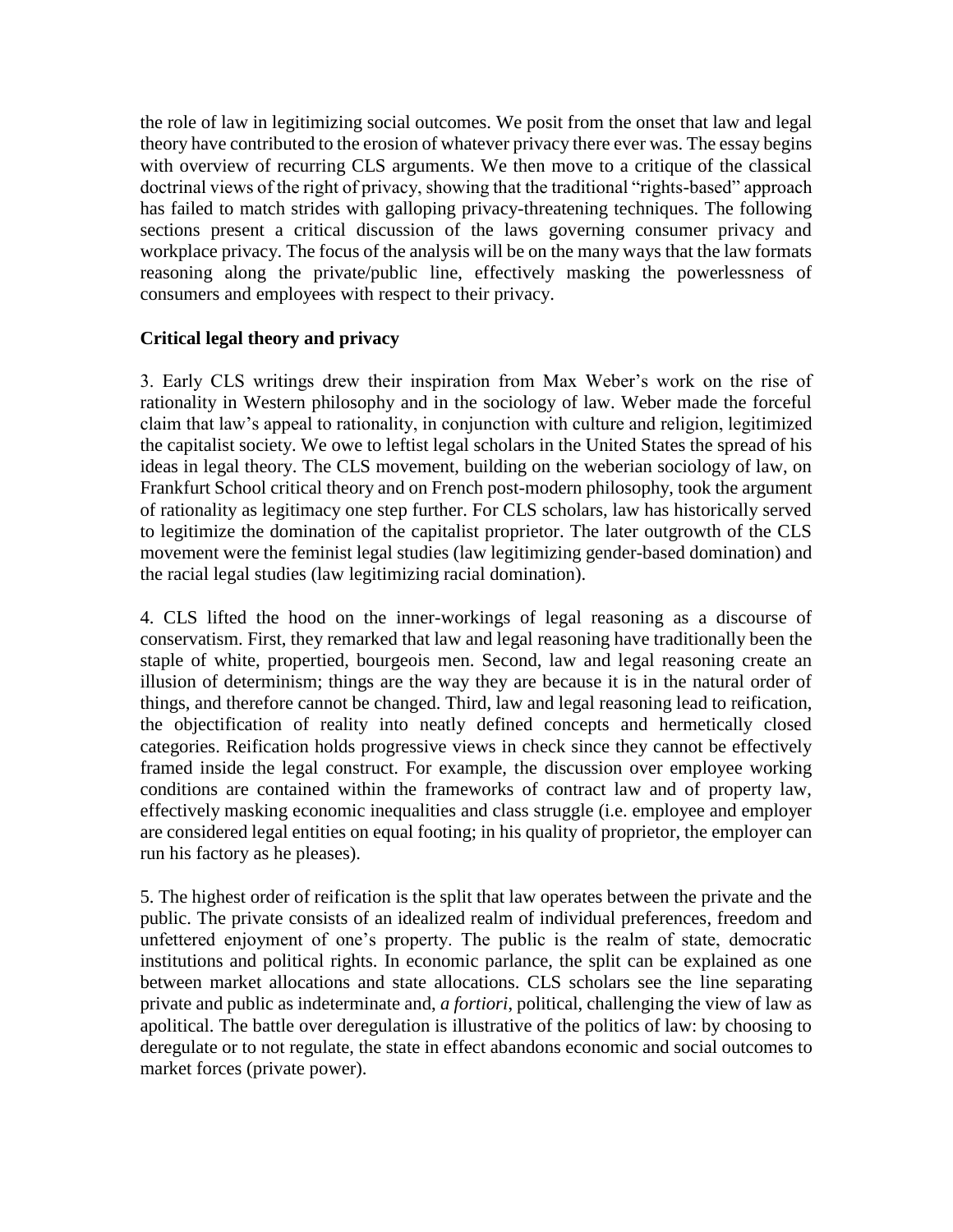the role of law in legitimizing social outcomes. We posit from the onset that law and legal theory have contributed to the erosion of whatever privacy there ever was. The essay begins with overview of recurring CLS arguments. We then move to a critique of the classical doctrinal views of the right of privacy, showing that the traditional "rights-based" approach has failed to match strides with galloping privacy-threatening techniques. The following sections present a critical discussion of the laws governing consumer privacy and workplace privacy. The focus of the analysis will be on the many ways that the law formats reasoning along the private/public line, effectively masking the powerlessness of consumers and employees with respect to their privacy.

## **Critical legal theory and privacy**

3. Early CLS writings drew their inspiration from Max Weber's work on the rise of rationality in Western philosophy and in the sociology of law. Weber made the forceful claim that law's appeal to rationality, in conjunction with culture and religion, legitimized the capitalist society. We owe to leftist legal scholars in the United States the spread of his ideas in legal theory. The CLS movement, building on the weberian sociology of law, on Frankfurt School critical theory and on French post-modern philosophy, took the argument of rationality as legitimacy one step further. For CLS scholars, law has historically served to legitimize the domination of the capitalist proprietor. The later outgrowth of the CLS movement were the feminist legal studies (law legitimizing gender-based domination) and the racial legal studies (law legitimizing racial domination).

4. CLS lifted the hood on the inner-workings of legal reasoning as a discourse of conservatism. First, they remarked that law and legal reasoning have traditionally been the staple of white, propertied, bourgeois men. Second, law and legal reasoning create an illusion of determinism; things are the way they are because it is in the natural order of things, and therefore cannot be changed. Third, law and legal reasoning lead to reification, the objectification of reality into neatly defined concepts and hermetically closed categories. Reification holds progressive views in check since they cannot be effectively framed inside the legal construct. For example, the discussion over employee working conditions are contained within the frameworks of contract law and of property law, effectively masking economic inequalities and class struggle (i.e. employee and employer are considered legal entities on equal footing; in his quality of proprietor, the employer can run his factory as he pleases).

5. The highest order of reification is the split that law operates between the private and the public. The private consists of an idealized realm of individual preferences, freedom and unfettered enjoyment of one's property. The public is the realm of state, democratic institutions and political rights. In economic parlance, the split can be explained as one between market allocations and state allocations. CLS scholars see the line separating private and public as indeterminate and, *a fortiori*, political, challenging the view of law as apolitical. The battle over deregulation is illustrative of the politics of law: by choosing to deregulate or to not regulate, the state in effect abandons economic and social outcomes to market forces (private power).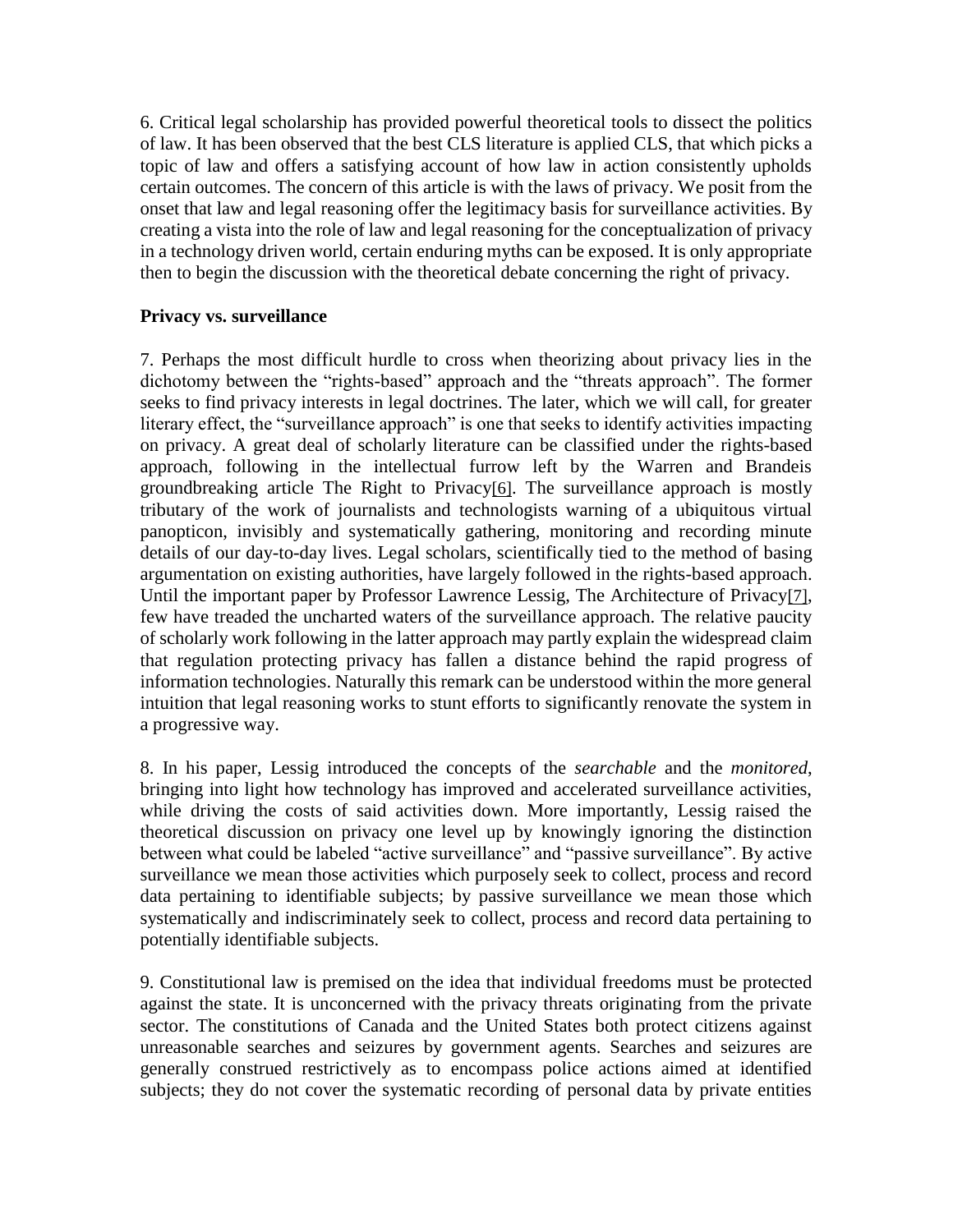6. Critical legal scholarship has provided powerful theoretical tools to dissect the politics of law. It has been observed that the best CLS literature is applied CLS, that which picks a topic of law and offers a satisfying account of how law in action consistently upholds certain outcomes. The concern of this article is with the laws of privacy. We posit from the onset that law and legal reasoning offer the legitimacy basis for surveillance activities. By creating a vista into the role of law and legal reasoning for the conceptualization of privacy in a technology driven world, certain enduring myths can be exposed. It is only appropriate then to begin the discussion with the theoretical debate concerning the right of privacy.

#### **Privacy vs. surveillance**

7. Perhaps the most difficult hurdle to cross when theorizing about privacy lies in the dichotomy between the "rights-based" approach and the "threats approach". The former seeks to find privacy interests in legal doctrines. The later, which we will call, for greater literary effect, the "surveillance approach" is one that seeks to identify activities impacting on privacy. A great deal of scholarly literature can be classified under the rights-based approach, following in the intellectual furrow left by the Warren and Brandeis groundbreaking article The Right to Privacy[\[6\]](http://www.lex-electronica.org/docs/articles_154.htm#_ftn8). The surveillance approach is mostly tributary of the work of journalists and technologists warning of a ubiquitous virtual panopticon, invisibly and systematically gathering, monitoring and recording minute details of our day-to-day lives. Legal scholars, scientifically tied to the method of basing argumentation on existing authorities, have largely followed in the rights-based approach. Until the important paper by Professor Lawrence Lessig, The Architecture of Privacy[\[7\]](http://www.lex-electronica.org/docs/articles_154.htm#_ftn9), few have treaded the uncharted waters of the surveillance approach. The relative paucity of scholarly work following in the latter approach may partly explain the widespread claim that regulation protecting privacy has fallen a distance behind the rapid progress of information technologies. Naturally this remark can be understood within the more general intuition that legal reasoning works to stunt efforts to significantly renovate the system in a progressive way.

8. In his paper, Lessig introduced the concepts of the *searchable* and the *monitored*, bringing into light how technology has improved and accelerated surveillance activities, while driving the costs of said activities down. More importantly, Lessig raised the theoretical discussion on privacy one level up by knowingly ignoring the distinction between what could be labeled "active surveillance" and "passive surveillance". By active surveillance we mean those activities which purposely seek to collect, process and record data pertaining to identifiable subjects; by passive surveillance we mean those which systematically and indiscriminately seek to collect, process and record data pertaining to potentially identifiable subjects.

9. Constitutional law is premised on the idea that individual freedoms must be protected against the state. It is unconcerned with the privacy threats originating from the private sector. The constitutions of Canada and the United States both protect citizens against unreasonable searches and seizures by government agents. Searches and seizures are generally construed restrictively as to encompass police actions aimed at identified subjects; they do not cover the systematic recording of personal data by private entities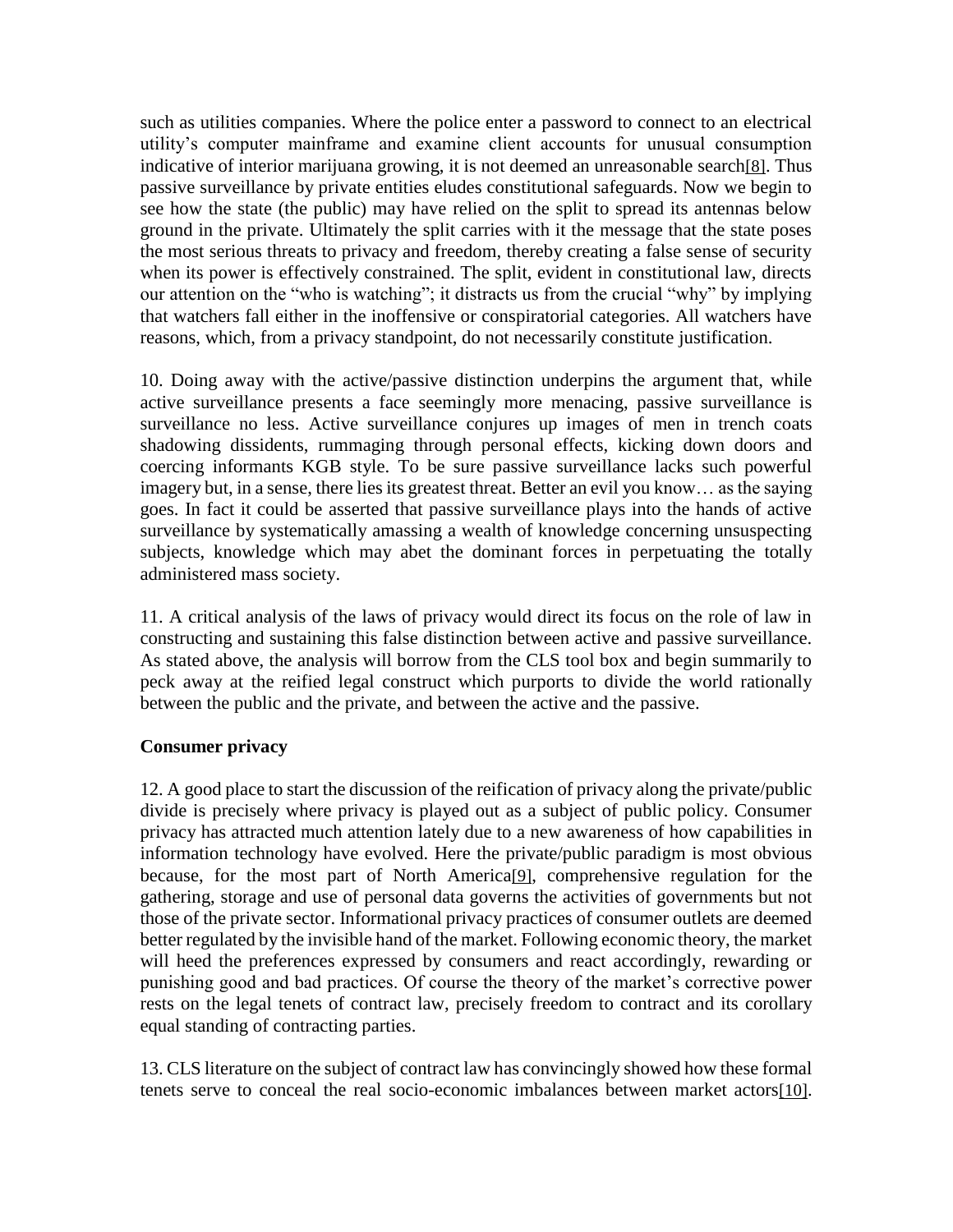such as utilities companies. Where the police enter a password to connect to an electrical utility's computer mainframe and examine client accounts for unusual consumption indicative of interior marijuana growing, it is not deemed an unreasonable search[\[8\]](http://www.lex-electronica.org/docs/articles_154.htm#_ftn10). Thus passive surveillance by private entities eludes constitutional safeguards. Now we begin to see how the state (the public) may have relied on the split to spread its antennas below ground in the private. Ultimately the split carries with it the message that the state poses the most serious threats to privacy and freedom, thereby creating a false sense of security when its power is effectively constrained. The split, evident in constitutional law, directs our attention on the "who is watching"; it distracts us from the crucial "why" by implying that watchers fall either in the inoffensive or conspiratorial categories. All watchers have reasons, which, from a privacy standpoint, do not necessarily constitute justification.

10. Doing away with the active/passive distinction underpins the argument that, while active surveillance presents a face seemingly more menacing, passive surveillance is surveillance no less. Active surveillance conjures up images of men in trench coats shadowing dissidents, rummaging through personal effects, kicking down doors and coercing informants KGB style. To be sure passive surveillance lacks such powerful imagery but, in a sense, there lies its greatest threat. Better an evil you know… as the saying goes. In fact it could be asserted that passive surveillance plays into the hands of active surveillance by systematically amassing a wealth of knowledge concerning unsuspecting subjects, knowledge which may abet the dominant forces in perpetuating the totally administered mass society.

11. A critical analysis of the laws of privacy would direct its focus on the role of law in constructing and sustaining this false distinction between active and passive surveillance. As stated above, the analysis will borrow from the CLS tool box and begin summarily to peck away at the reified legal construct which purports to divide the world rationally between the public and the private, and between the active and the passive.

#### **Consumer privacy**

12. A good place to start the discussion of the reification of privacy along the private/public divide is precisely where privacy is played out as a subject of public policy. Consumer privacy has attracted much attention lately due to a new awareness of how capabilities in information technology have evolved. Here the private/public paradigm is most obvious because, for the most part of North America[\[9\]](http://www.lex-electronica.org/docs/articles_154.htm#_ftn11), comprehensive regulation for the gathering, storage and use of personal data governs the activities of governments but not those of the private sector. Informational privacy practices of consumer outlets are deemed better regulated by the invisible hand of the market. Following economic theory, the market will heed the preferences expressed by consumers and react accordingly, rewarding or punishing good and bad practices. Of course the theory of the market's corrective power rests on the legal tenets of contract law, precisely freedom to contract and its corollary equal standing of contracting parties.

13. CLS literature on the subject of contract law has convincingly showed how these formal tenets serve to conceal the real socio-economic imbalances between market actors[\[10\]](http://www.lex-electronica.org/docs/articles_154.htm#_ftn12).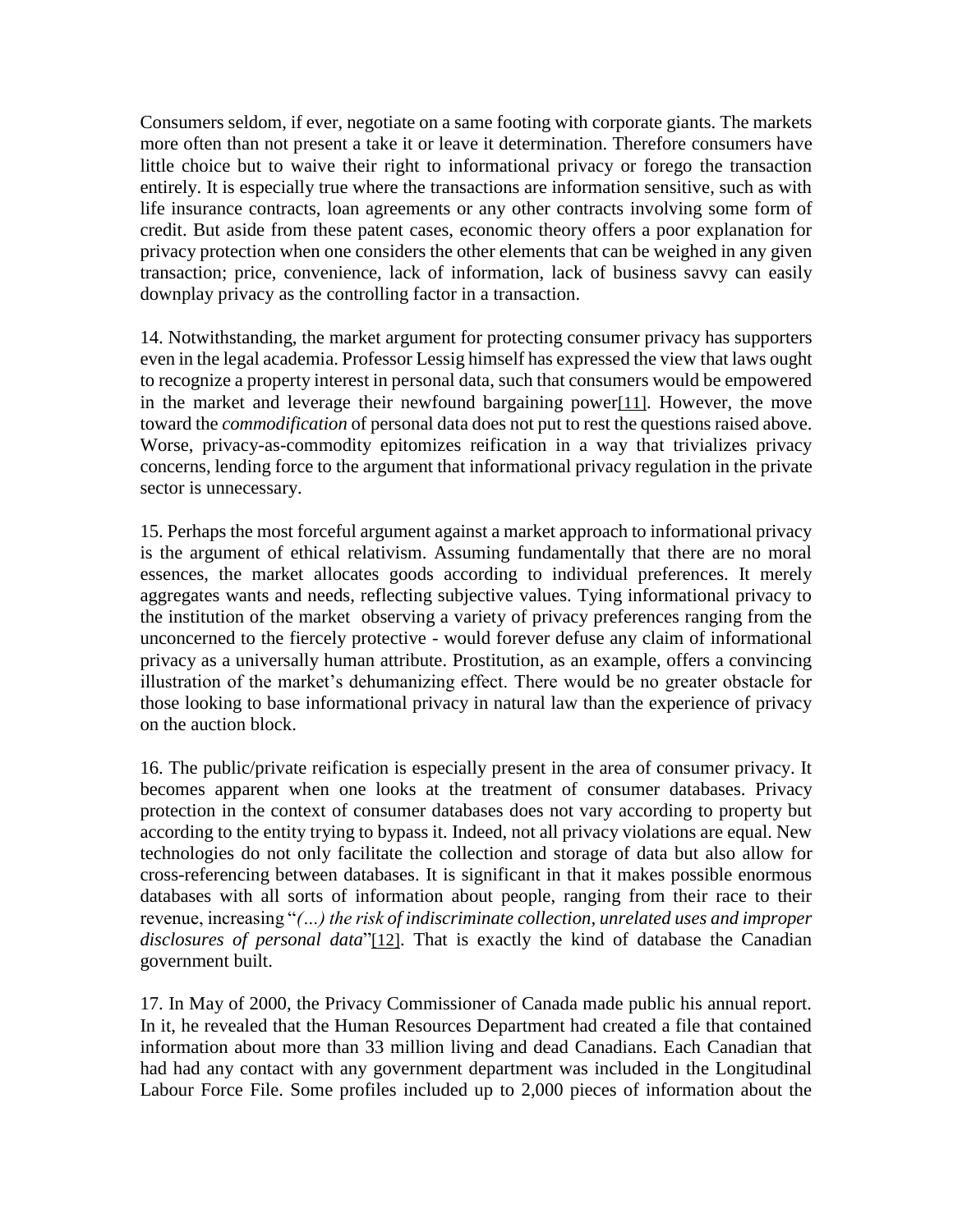Consumers seldom, if ever, negotiate on a same footing with corporate giants. The markets more often than not present a take it or leave it determination. Therefore consumers have little choice but to waive their right to informational privacy or forego the transaction entirely. It is especially true where the transactions are information sensitive, such as with life insurance contracts, loan agreements or any other contracts involving some form of credit. But aside from these patent cases, economic theory offers a poor explanation for privacy protection when one considers the other elements that can be weighed in any given transaction; price, convenience, lack of information, lack of business savvy can easily downplay privacy as the controlling factor in a transaction.

14. Notwithstanding, the market argument for protecting consumer privacy has supporters even in the legal academia. Professor Lessig himself has expressed the view that laws ought to recognize a property interest in personal data, such that consumers would be empowered in the market and leverage their newfound bargaining power[\[11\]](http://www.lex-electronica.org/docs/articles_154.htm#_ftn13). However, the move toward the *commodification* of personal data does not put to rest the questions raised above. Worse, privacy-as-commodity epitomizes reification in a way that trivializes privacy concerns, lending force to the argument that informational privacy regulation in the private sector is unnecessary.

15. Perhaps the most forceful argument against a market approach to informational privacy is the argument of ethical relativism. Assuming fundamentally that there are no moral essences, the market allocates goods according to individual preferences. It merely aggregates wants and needs, reflecting subjective values. Tying informational privacy to the institution of the market observing a variety of privacy preferences ranging from the unconcerned to the fiercely protective - would forever defuse any claim of informational privacy as a universally human attribute. Prostitution, as an example, offers a convincing illustration of the market's dehumanizing effect. There would be no greater obstacle for those looking to base informational privacy in natural law than the experience of privacy on the auction block.

16. The public/private reification is especially present in the area of consumer privacy. It becomes apparent when one looks at the treatment of consumer databases. Privacy protection in the context of consumer databases does not vary according to property but according to the entity trying to bypass it. Indeed, not all privacy violations are equal. New technologies do not only facilitate the collection and storage of data but also allow for cross-referencing between databases. It is significant in that it makes possible enormous databases with all sorts of information about people, ranging from their race to their revenue, increasing "*(…) the risk of indiscriminate collection, unrelated uses and improper disclosures of personal data*"[\[12\]](http://www.lex-electronica.org/docs/articles_154.htm#_ftn14). That is exactly the kind of database the Canadian government built.

17. In May of 2000, the Privacy Commissioner of Canada made public his annual report. In it, he revealed that the Human Resources Department had created a file that contained information about more than 33 million living and dead Canadians. Each Canadian that had had any contact with any government department was included in the Longitudinal Labour Force File. Some profiles included up to 2,000 pieces of information about the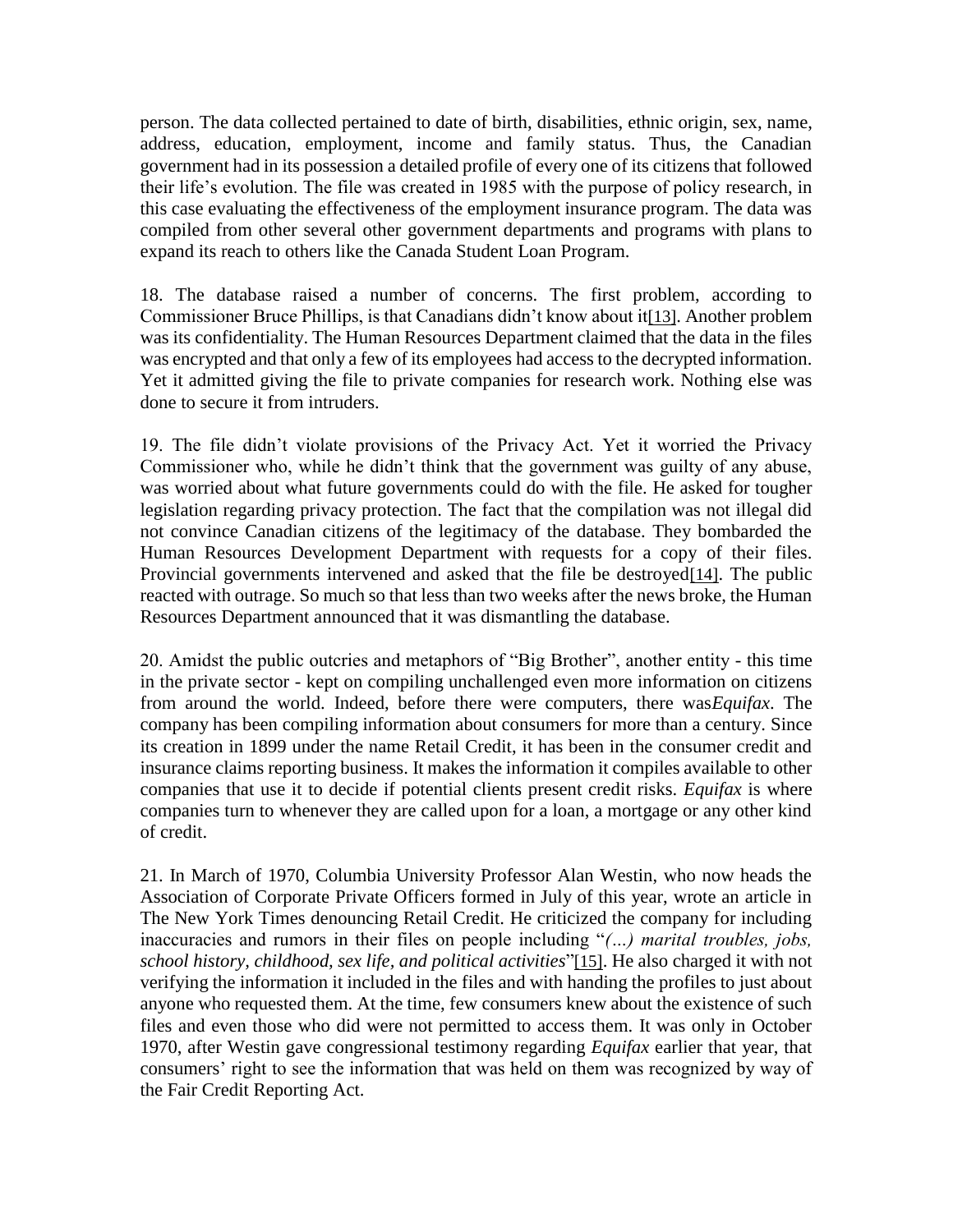person. The data collected pertained to date of birth, disabilities, ethnic origin, sex, name, address, education, employment, income and family status. Thus, the Canadian government had in its possession a detailed profile of every one of its citizens that followed their life's evolution. The file was created in 1985 with the purpose of policy research, in this case evaluating the effectiveness of the employment insurance program. The data was compiled from other several other government departments and programs with plans to expand its reach to others like the Canada Student Loan Program.

18. The database raised a number of concerns. The first problem, according to Commissioner Bruce Phillips, is that Canadians didn't know about it[\[13\]](http://www.lex-electronica.org/docs/articles_154.htm#_ftn15). Another problem was its confidentiality. The Human Resources Department claimed that the data in the files was encrypted and that only a few of its employees had access to the decrypted information. Yet it admitted giving the file to private companies for research work. Nothing else was done to secure it from intruders.

19. The file didn't violate provisions of the Privacy Act. Yet it worried the Privacy Commissioner who, while he didn't think that the government was guilty of any abuse, was worried about what future governments could do with the file. He asked for tougher legislation regarding privacy protection. The fact that the compilation was not illegal did not convince Canadian citizens of the legitimacy of the database. They bombarded the Human Resources Development Department with requests for a copy of their files. Provincial governments intervened and asked that the file be destroyed<sup>[\[14\]](http://www.lex-electronica.org/docs/articles_154.htm#_ftn16)</sup>. The public reacted with outrage. So much so that less than two weeks after the news broke, the Human Resources Department announced that it was dismantling the database.

20. Amidst the public outcries and metaphors of "Big Brother", another entity - this time in the private sector - kept on compiling unchallenged even more information on citizens from around the world. Indeed, before there were computers, there was*Equifax*. The company has been compiling information about consumers for more than a century. Since its creation in 1899 under the name Retail Credit, it has been in the consumer credit and insurance claims reporting business. It makes the information it compiles available to other companies that use it to decide if potential clients present credit risks. *Equifax* is where companies turn to whenever they are called upon for a loan, a mortgage or any other kind of credit.

21. In March of 1970, Columbia University Professor Alan Westin, who now heads the Association of Corporate Private Officers formed in July of this year, wrote an article in The New York Times denouncing Retail Credit. He criticized the company for including inaccuracies and rumors in their files on people including "*(…) marital troubles, jobs, school history, childhood, sex life, and political activities*"[\[15\]](http://www.lex-electronica.org/docs/articles_154.htm#_ftn17). He also charged it with not verifying the information it included in the files and with handing the profiles to just about anyone who requested them. At the time, few consumers knew about the existence of such files and even those who did were not permitted to access them. It was only in October 1970, after Westin gave congressional testimony regarding *Equifax* earlier that year, that consumers' right to see the information that was held on them was recognized by way of the Fair Credit Reporting Act.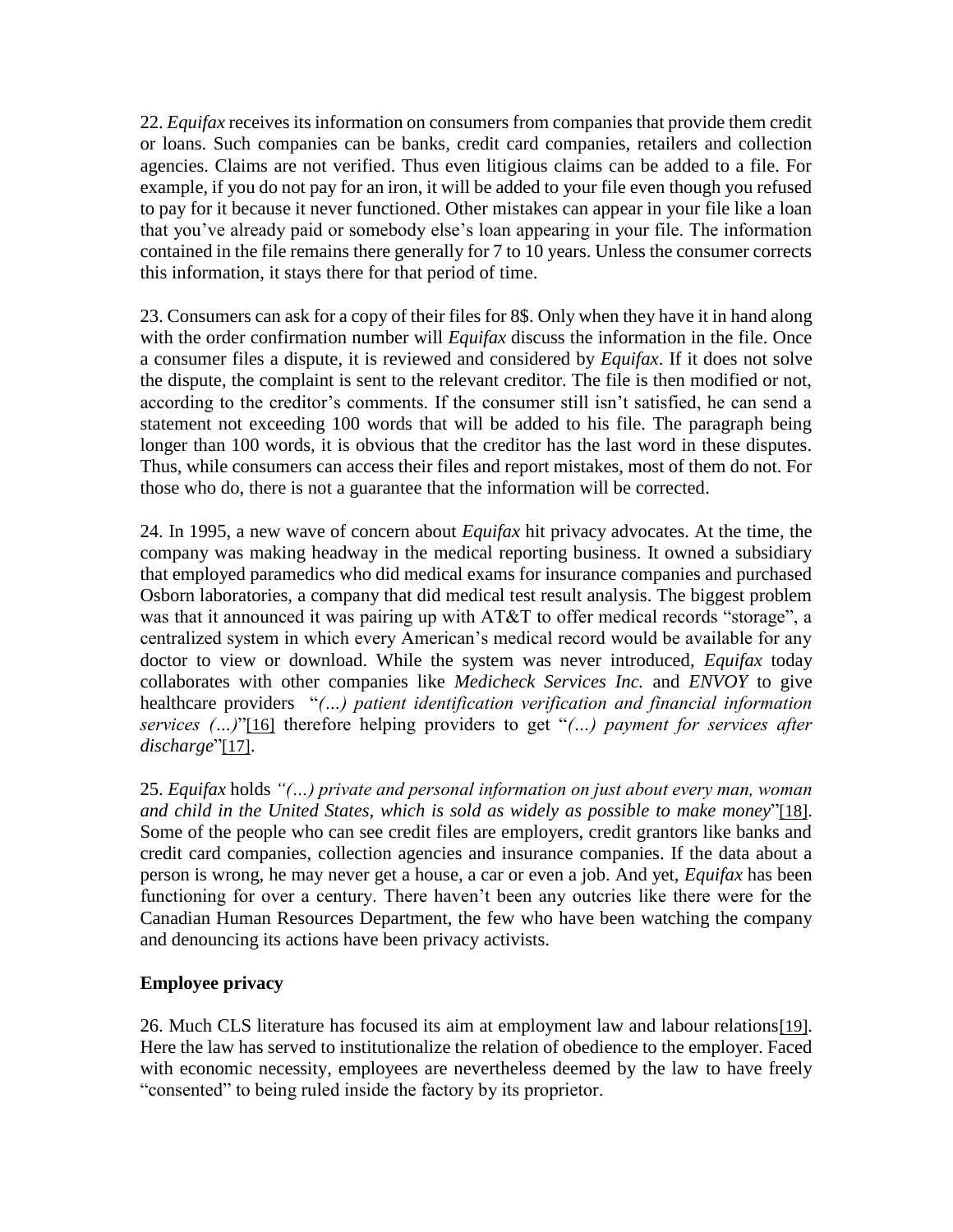22. *Equifax* receives its information on consumers from companies that provide them credit or loans. Such companies can be banks, credit card companies, retailers and collection agencies. Claims are not verified. Thus even litigious claims can be added to a file. For example, if you do not pay for an iron, it will be added to your file even though you refused to pay for it because it never functioned. Other mistakes can appear in your file like a loan that you've already paid or somebody else's loan appearing in your file. The information contained in the file remains there generally for 7 to 10 years. Unless the consumer corrects this information, it stays there for that period of time.

23. Consumers can ask for a copy of their files for 8\$. Only when they have it in hand along with the order confirmation number will *Equifax* discuss the information in the file. Once a consumer files a dispute, it is reviewed and considered by *Equifax*. If it does not solve the dispute, the complaint is sent to the relevant creditor. The file is then modified or not, according to the creditor's comments. If the consumer still isn't satisfied, he can send a statement not exceeding 100 words that will be added to his file. The paragraph being longer than 100 words, it is obvious that the creditor has the last word in these disputes. Thus, while consumers can access their files and report mistakes, most of them do not. For those who do, there is not a guarantee that the information will be corrected.

24. In 1995, a new wave of concern about *Equifax* hit privacy advocates. At the time, the company was making headway in the medical reporting business. It owned a subsidiary that employed paramedics who did medical exams for insurance companies and purchased Osborn laboratories, a company that did medical test result analysis. The biggest problem was that it announced it was pairing up with AT&T to offer medical records "storage", a centralized system in which every American's medical record would be available for any doctor to view or download. While the system was never introduced, *Equifax* today collaborates with other companies like *Medicheck Services Inc.* and *ENVOY* to give healthcare providers "*(…) patient identification verification and financial information services (…)*"[\[16\]](http://www.lex-electronica.org/docs/articles_154.htm#_ftn18) therefore helping providers to get "*(…) payment for services after discharge*"[\[17\]](http://www.lex-electronica.org/docs/articles_154.htm#_ftn19).

25. *Equifax* holds *"(…) private and personal information on just about every man, woman and child in the United States, which is sold as widely as possible to make money*"[\[18\]](http://www.lex-electronica.org/docs/articles_154.htm#_ftn20). Some of the people who can see credit files are employers, credit grantors like banks and credit card companies, collection agencies and insurance companies. If the data about a person is wrong, he may never get a house, a car or even a job. And yet, *Equifax* has been functioning for over a century. There haven't been any outcries like there were for the Canadian Human Resources Department, the few who have been watching the company and denouncing its actions have been privacy activists.

## **Employee privacy**

26. Much CLS literature has focused its aim at employment law and labour relations[\[19\]](http://www.lex-electronica.org/docs/articles_154.htm#_ftn21). Here the law has served to institutionalize the relation of obedience to the employer. Faced with economic necessity, employees are nevertheless deemed by the law to have freely "consented" to being ruled inside the factory by its proprietor.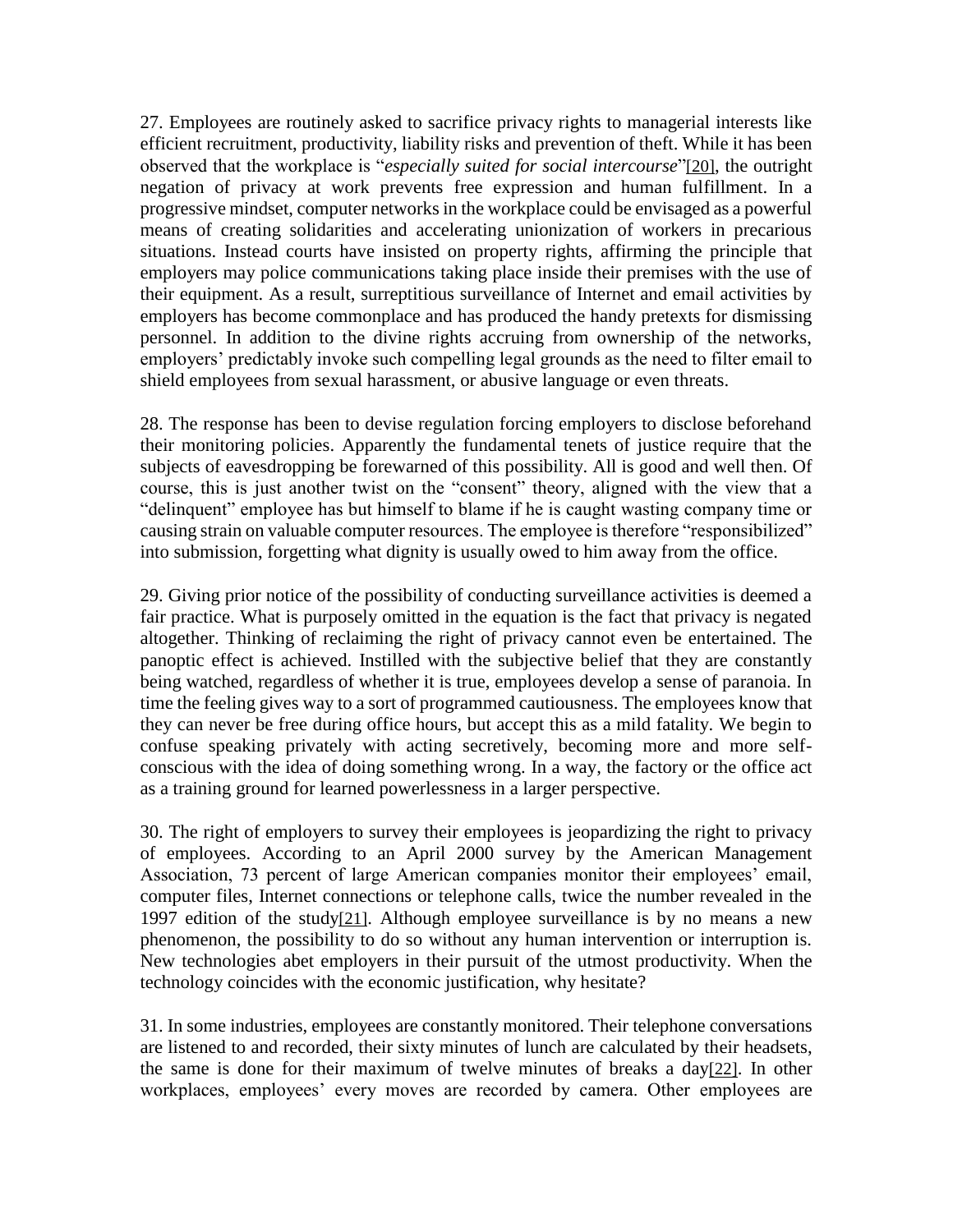27. Employees are routinely asked to sacrifice privacy rights to managerial interests like efficient recruitment, productivity, liability risks and prevention of theft. While it has been observed that the workplace is "*especially suited for social intercourse*"[\[20\]](http://www.lex-electronica.org/docs/articles_154.htm#_ftn22), the outright negation of privacy at work prevents free expression and human fulfillment. In a progressive mindset, computer networks in the workplace could be envisaged as a powerful means of creating solidarities and accelerating unionization of workers in precarious situations. Instead courts have insisted on property rights, affirming the principle that employers may police communications taking place inside their premises with the use of their equipment. As a result, surreptitious surveillance of Internet and email activities by employers has become commonplace and has produced the handy pretexts for dismissing personnel. In addition to the divine rights accruing from ownership of the networks, employers' predictably invoke such compelling legal grounds as the need to filter email to shield employees from sexual harassment, or abusive language or even threats.

28. The response has been to devise regulation forcing employers to disclose beforehand their monitoring policies. Apparently the fundamental tenets of justice require that the subjects of eavesdropping be forewarned of this possibility. All is good and well then. Of course, this is just another twist on the "consent" theory, aligned with the view that a "delinquent" employee has but himself to blame if he is caught wasting company time or causing strain on valuable computer resources. The employee is therefore "responsibilized" into submission, forgetting what dignity is usually owed to him away from the office.

29. Giving prior notice of the possibility of conducting surveillance activities is deemed a fair practice. What is purposely omitted in the equation is the fact that privacy is negated altogether. Thinking of reclaiming the right of privacy cannot even be entertained. The panoptic effect is achieved. Instilled with the subjective belief that they are constantly being watched, regardless of whether it is true, employees develop a sense of paranoia. In time the feeling gives way to a sort of programmed cautiousness. The employees know that they can never be free during office hours, but accept this as a mild fatality. We begin to confuse speaking privately with acting secretively, becoming more and more selfconscious with the idea of doing something wrong. In a way, the factory or the office act as a training ground for learned powerlessness in a larger perspective.

30. The right of employers to survey their employees is jeopardizing the right to privacy of employees. According to an April 2000 survey by the American Management Association, 73 percent of large American companies monitor their employees' email, computer files, Internet connections or telephone calls, twice the number revealed in the 1997 edition of the study[\[21\]](http://www.lex-electronica.org/docs/articles_154.htm#_ftn23). Although employee surveillance is by no means a new phenomenon, the possibility to do so without any human intervention or interruption is. New technologies abet employers in their pursuit of the utmost productivity. When the technology coincides with the economic justification, why hesitate?

31. In some industries, employees are constantly monitored. Their telephone conversations are listened to and recorded, their sixty minutes of lunch are calculated by their headsets, the same is done for their maximum of twelve minutes of breaks a day[\[22\]](http://www.lex-electronica.org/docs/articles_154.htm#_ftn24). In other workplaces, employees' every moves are recorded by camera. Other employees are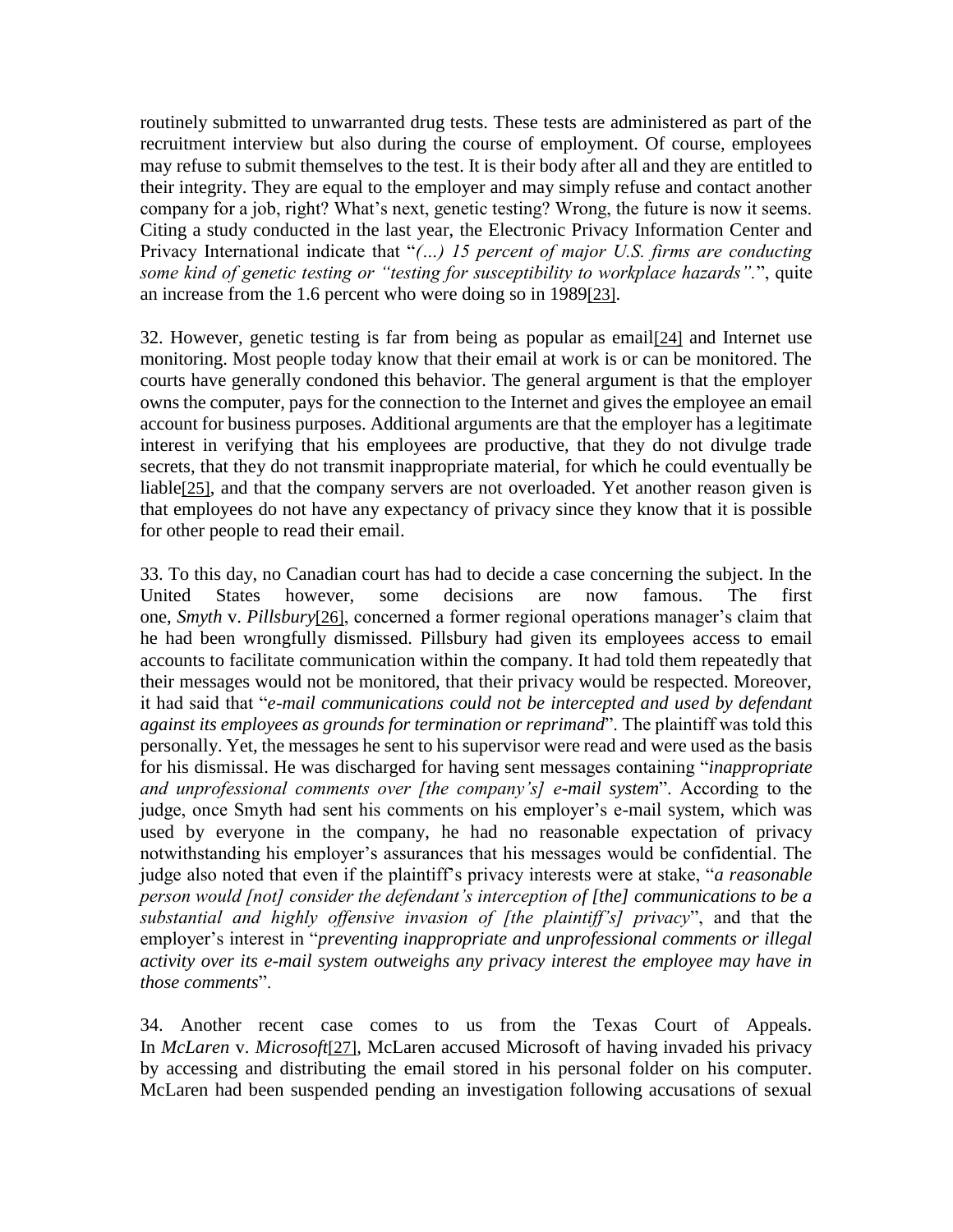routinely submitted to unwarranted drug tests. These tests are administered as part of the recruitment interview but also during the course of employment. Of course, employees may refuse to submit themselves to the test. It is their body after all and they are entitled to their integrity. They are equal to the employer and may simply refuse and contact another company for a job, right? What's next, genetic testing? Wrong, the future is now it seems. Citing a study conducted in the last year, the Electronic Privacy Information Center and Privacy International indicate that "*(…) 15 percent of major U.S. firms are conducting some kind of genetic testing or "testing for susceptibility to workplace hazards".*", quite an increase from the 1.6 percent who were doing so in 1989[\[23\]](http://www.lex-electronica.org/docs/articles_154.htm#_ftn25).

32. However, genetic testing is far from being as popular as email[\[24\]](http://www.lex-electronica.org/docs/articles_154.htm#_ftn26) and Internet use monitoring. Most people today know that their email at work is or can be monitored. The courts have generally condoned this behavior. The general argument is that the employer owns the computer, pays for the connection to the Internet and gives the employee an email account for business purposes. Additional arguments are that the employer has a legitimate interest in verifying that his employees are productive, that they do not divulge trade secrets, that they do not transmit inappropriate material, for which he could eventually be liable[\[25\]](http://www.lex-electronica.org/docs/articles_154.htm#_ftn27), and that the company servers are not overloaded. Yet another reason given is that employees do not have any expectancy of privacy since they know that it is possible for other people to read their email.

33. To this day, no Canadian court has had to decide a case concerning the subject. In the United States however, some decisions are now famous. The first one, *Smyth* v. *Pillsbury*[\[26\]](http://www.lex-electronica.org/docs/articles_154.htm#_ftn28), concerned a former regional operations manager's claim that he had been wrongfully dismissed. Pillsbury had given its employees access to email accounts to facilitate communication within the company. It had told them repeatedly that their messages would not be monitored, that their privacy would be respected. Moreover, it had said that "*e-mail communications could not be intercepted and used by defendant against its employees as grounds for termination or reprimand*". The plaintiff was told this personally. Yet, the messages he sent to his supervisor were read and were used as the basis for his dismissal. He was discharged for having sent messages containing "*inappropriate and unprofessional comments over [the company's] e-mail system*". According to the judge, once Smyth had sent his comments on his employer's e-mail system, which was used by everyone in the company, he had no reasonable expectation of privacy notwithstanding his employer's assurances that his messages would be confidential. The judge also noted that even if the plaintiff's privacy interests were at stake, "*a reasonable person would [not] consider the defendant's interception of [the] communications to be a substantial and highly offensive invasion of [the plaintiff's] privacy*", and that the employer's interest in "*preventing inappropriate and unprofessional comments or illegal activity over its e-mail system outweighs any privacy interest the employee may have in those comments*".

34. Another recent case comes to us from the Texas Court of Appeals. In *McLaren* v. *Microsoft*[\[27\]](http://www.lex-electronica.org/docs/articles_154.htm#_ftn29)*,* McLaren accused Microsoft of having invaded his privacy by accessing and distributing the email stored in his personal folder on his computer. McLaren had been suspended pending an investigation following accusations of sexual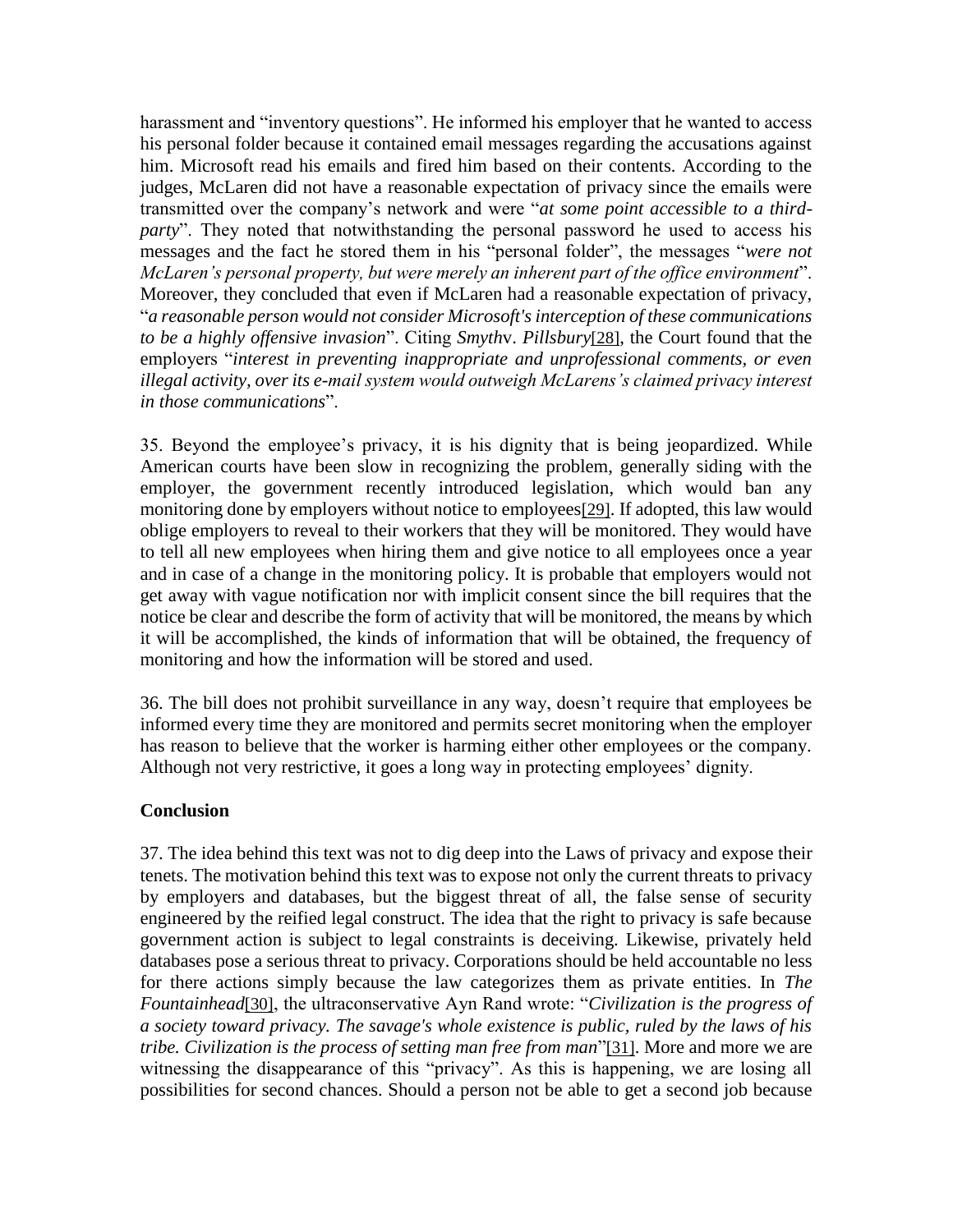harassment and "inventory questions". He informed his employer that he wanted to access his personal folder because it contained email messages regarding the accusations against him. Microsoft read his emails and fired him based on their contents. According to the judges, McLaren did not have a reasonable expectation of privacy since the emails were transmitted over the company's network and were "*at some point accessible to a thirdparty*". They noted that notwithstanding the personal password he used to access his messages and the fact he stored them in his "personal folder", the messages "*were not McLaren's personal property, but were merely an inherent part of the office environment*". Moreover, they concluded that even if McLaren had a reasonable expectation of privacy, "*a reasonable person would not consider Microsoft's interception of these communications to be a highly offensive invasion*". Citing *Smyth*v. *Pillsbury*[\[28\]](http://www.lex-electronica.org/docs/articles_154.htm#_ftn30), the Court found that the employers "*interest in preventing inappropriate and unprofessional comments, or even illegal activity, over its e-mail system would outweigh McLarens's claimed privacy interest in those communications*".

35. Beyond the employee's privacy, it is his dignity that is being jeopardized. While American courts have been slow in recognizing the problem, generally siding with the employer, the government recently introduced legislation, which would ban any monitoring done by employers without notice to employees[\[29\]](http://www.lex-electronica.org/docs/articles_154.htm#_ftn31). If adopted, this law would oblige employers to reveal to their workers that they will be monitored. They would have to tell all new employees when hiring them and give notice to all employees once a year and in case of a change in the monitoring policy. It is probable that employers would not get away with vague notification nor with implicit consent since the bill requires that the notice be clear and describe the form of activity that will be monitored, the means by which it will be accomplished, the kinds of information that will be obtained, the frequency of monitoring and how the information will be stored and used.

36. The bill does not prohibit surveillance in any way, doesn't require that employees be informed every time they are monitored and permits secret monitoring when the employer has reason to believe that the worker is harming either other employees or the company. Although not very restrictive, it goes a long way in protecting employees' dignity.

#### **Conclusion**

37. The idea behind this text was not to dig deep into the Laws of privacy and expose their tenets. The motivation behind this text was to expose not only the current threats to privacy by employers and databases, but the biggest threat of all, the false sense of security engineered by the reified legal construct. The idea that the right to privacy is safe because government action is subject to legal constraints is deceiving. Likewise, privately held databases pose a serious threat to privacy. Corporations should be held accountable no less for there actions simply because the law categorizes them as private entities. In *The Fountainhead*[\[30\]](http://www.lex-electronica.org/docs/articles_154.htm#_ftn32), the ultraconservative Ayn Rand wrote: "*Civilization is the progress of a society toward privacy. The savage's whole existence is public, ruled by the laws of his tribe. Civilization is the process of setting man free from man*"[\[31\]](http://www.lex-electronica.org/docs/articles_154.htm#_ftn33). More and more we are witnessing the disappearance of this "privacy". As this is happening, we are losing all possibilities for second chances. Should a person not be able to get a second job because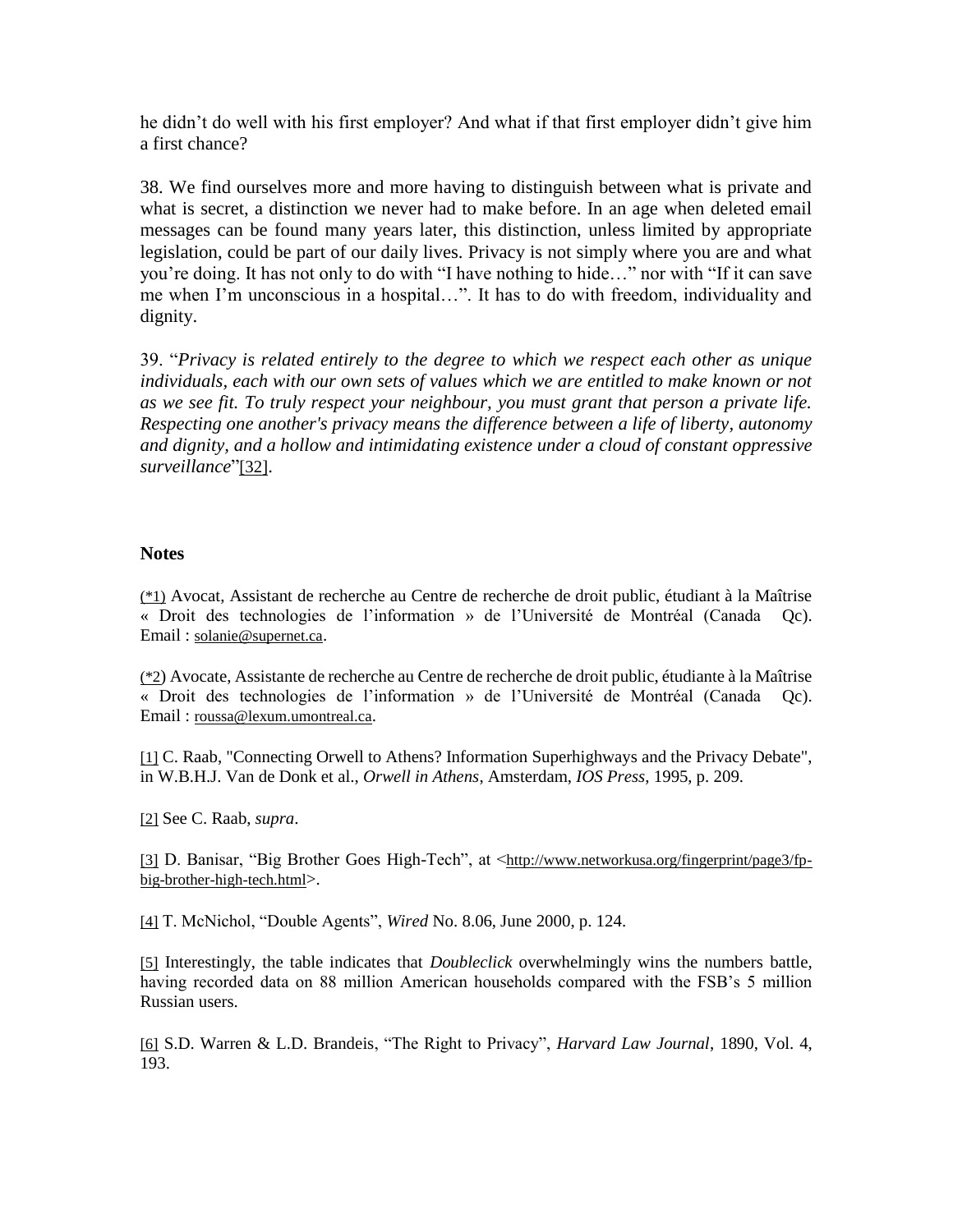he didn't do well with his first employer? And what if that first employer didn't give him a first chance?

38. We find ourselves more and more having to distinguish between what is private and what is secret, a distinction we never had to make before. In an age when deleted email messages can be found many years later, this distinction, unless limited by appropriate legislation, could be part of our daily lives. Privacy is not simply where you are and what you're doing. It has not only to do with "I have nothing to hide…" nor with "If it can save me when I'm unconscious in a hospital…". It has to do with freedom, individuality and dignity.

39. "*Privacy is related entirely to the degree to which we respect each other as unique individuals, each with our own sets of values which we are entitled to make known or not as we see fit. To truly respect your neighbour, you must grant that person a private life. Respecting one another's privacy means the difference between a life of liberty, autonomy and dignity, and a hollow and intimidating existence under a cloud of constant oppressive surveillance*"[\[32\]](http://www.lex-electronica.org/docs/articles_154.htm#_ftn34).

#### **Notes**

[\(\\*1\)](http://www.lex-electronica.org/docs/articles_154.htm#_ftnref1) Avocat, Assistant de recherche au Centre de recherche de droit public, étudiant à la Maîtrise « Droit des technologies de l'information » de l'Université de Montréal (Canada Qc). Email : [solanie@supernet.ca](mailto:solanie@supernet.ca).

[\(\\*2](http://www.lex-electronica.org/docs/articles_154.htm#_ftnref2)) Avocate, Assistante de recherche au Centre de recherche de droit public, étudiante à la Maîtrise « Droit des technologies de l'information » de l'Université de Montréal (Canada Qc). Email : [roussa@lexum.umontreal.ca](mailto:roussa@lexum.umontreal.ca).

[\[1\]](http://www.lex-electronica.org/docs/articles_154.htm#_ftnref3) C. Raab, "Connecting Orwell to Athens? Information Superhighways and the Privacy Debate", in W.B.H.J. Van de Donk et al., *Orwell in Athens*, Amsterdam, *IOS Press*, 1995, p. 209.

[\[2\]](http://www.lex-electronica.org/docs/articles_154.htm#_ftnref4) See C. Raab, *supra*.

[\[3\]](http://www.lex-electronica.org/docs/articles_154.htm#_ftnref5) D. Banisar, "Big Brother Goes High-Tech", at <[http://www.networkusa.org/fingerprint/page3/fp](http://www.networkusa.org/fingerprint/page3/fp-big-brother-high-tech.html)[big-brother-high-tech.html](http://www.networkusa.org/fingerprint/page3/fp-big-brother-high-tech.html)>.

[\[4\]](http://www.lex-electronica.org/docs/articles_154.htm#_ftnref6) T. McNichol, "Double Agents", *Wired* No. 8.06, June 2000, p. 124.

[\[5\]](http://www.lex-electronica.org/docs/articles_154.htm#_ftnref7) Interestingly, the table indicates that *Doubleclick* overwhelmingly wins the numbers battle, having recorded data on 88 million American households compared with the FSB's 5 million Russian users.

[\[6\]](http://www.lex-electronica.org/docs/articles_154.htm#_ftnref8) S.D. Warren & L.D. Brandeis, "The Right to Privacy", *Harvard Law Journal*, 1890, Vol. 4, 193.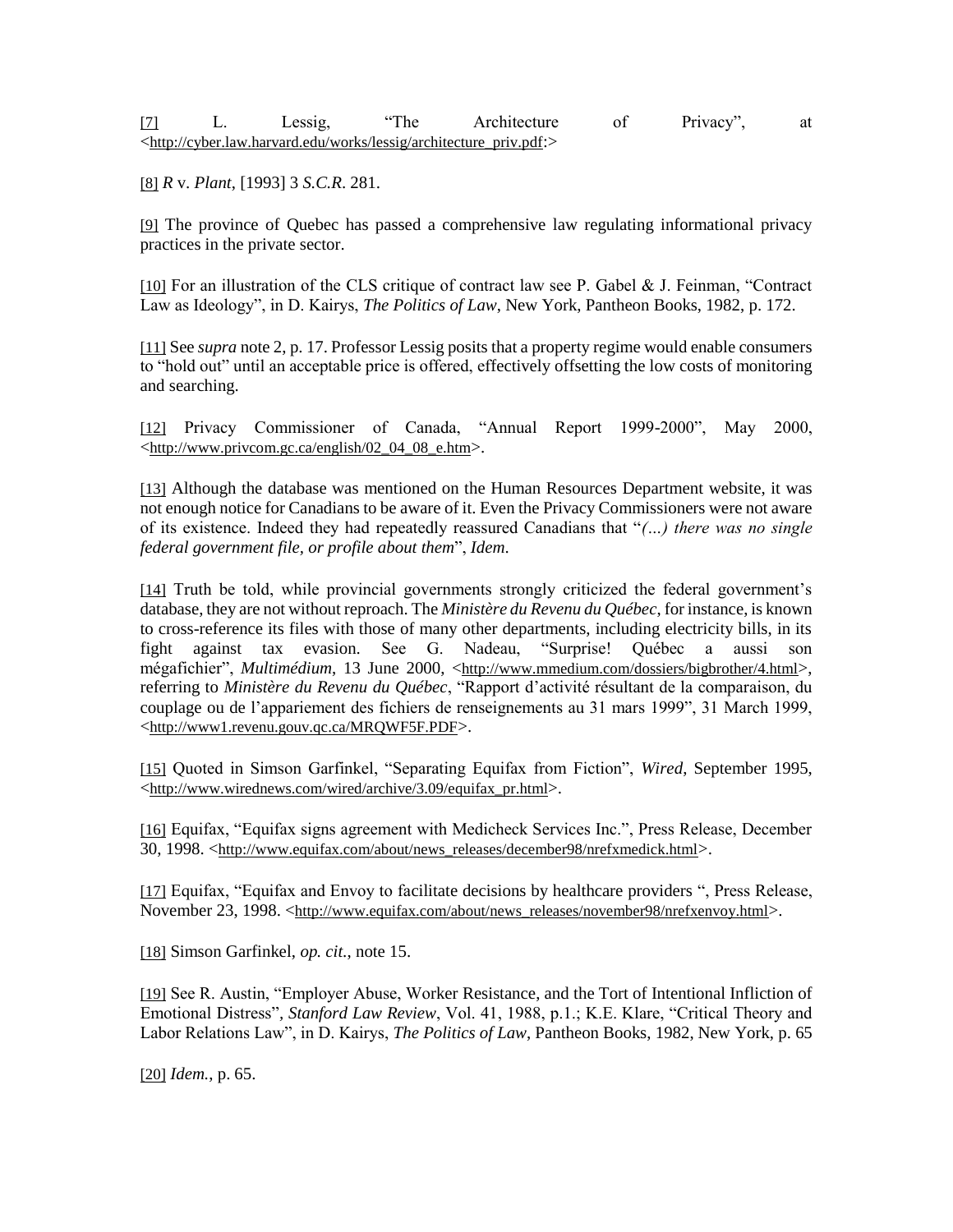| $\lceil 7 \rceil$ | Less19. | "The | Architecture                                                                             | Privacy <sup>®</sup> | at |
|-------------------|---------|------|------------------------------------------------------------------------------------------|----------------------|----|
|                   |         |      | <http: architecture="" cyber.law.harvard.edu="" lessig="" priv.pdf:="" works=""></http:> |                      |    |

[\[8\]](http://www.lex-electronica.org/docs/articles_154.htm#_ftnref10) *R* v. *Plant*, [1993] 3 *S.C.R*. 281.

[\[9\]](http://www.lex-electronica.org/docs/articles_154.htm#_ftnref11) The province of Quebec has passed a comprehensive law regulating informational privacy practices in the private sector.

[\[10\]](http://www.lex-electronica.org/docs/articles_154.htm#_ftnref12) For an illustration of the CLS critique of contract law see P. Gabel & J. Feinman, "Contract Law as Ideology", in D. Kairys, *The Politics of Law*, New York, Pantheon Books, 1982, p. 172.

[\[11\]](http://www.lex-electronica.org/docs/articles_154.htm#_ftnref13) See *supra* note 2, p. 17. Professor Lessig posits that a property regime would enable consumers to "hold out" until an acceptable price is offered, effectively offsetting the low costs of monitoring and searching.

[\[12\]](http://www.lex-electronica.org/docs/articles_154.htm#_ftnref14) Privacy Commissioner of Canada, "Annual Report 1999-2000", May 2000, <[http://www.privcom.gc.ca/english/02\\_04\\_08\\_e.htm](http://www.privcom.gc.ca/english/02_04_08_e.htm)>.

[\[13\]](http://www.lex-electronica.org/docs/articles_154.htm#_ftnref15) Although the database was mentioned on the Human Resources Department website, it was not enough notice for Canadians to be aware of it. Even the Privacy Commissioners were not aware of its existence. Indeed they had repeatedly reassured Canadians that "*(…) there was no single federal government file, or profile about them*", *Idem*.

[\[14\]](http://www.lex-electronica.org/docs/articles_154.htm#_ftnref16) Truth be told, while provincial governments strongly criticized the federal government's database, they are not without reproach. The *Ministère du Revenu du Québec*, for instance, is known to cross-reference its files with those of many other departments, including electricity bills, in its fight against tax evasion. See G. Nadeau, "Surprise! Québec a aussi son mégafichier", *Multimédium*, 13 June 2000, <<http://www.mmedium.com/dossiers/bigbrother/4.html>>, referring to *Ministère du Revenu du Québec*, "Rapport d'activité résultant de la comparaison, du couplage ou de l'appariement des fichiers de renseignements au 31 mars 1999", 31 March 1999, <<http://www1.revenu.gouv.qc.ca/MRQWF5F.PDF>>.

[\[15\]](http://www.lex-electronica.org/docs/articles_154.htm#_ftnref17) Quoted in Simson Garfinkel, "Separating Equifax from Fiction", *Wired*, September 1995, <[http://www.wirednews.com/wired/archive/3.09/equifax\\_pr.html](http://www.wirednews.com/wired/archive/3.09/equifax_pr.html)>.

[\[16\]](http://www.lex-electronica.org/docs/articles_154.htm#_ftnref18) Equifax, "Equifax signs agreement with Medicheck Services Inc.", Press Release, December 30, 1998. <[http://www.equifax.com/about/news\\_releases/december98/nrefxmedick.html](http://www.equifax.com/about/news_releases/december98/nrefxmedick.html)>.

[\[17\]](http://www.lex-electronica.org/docs/articles_154.htm#_ftnref19) Equifax, "Equifax and Envoy to facilitate decisions by healthcare providers ", Press Release, November 23, 1998. <[http://www.equifax.com/about/news\\_releases/november98/nrefxenvoy.html](http://www.equifax.com/about/news_releases/november98/nrefxenvoy.html)>.

[\[18\]](http://www.lex-electronica.org/docs/articles_154.htm#_ftnref20) Simson Garfinkel, *op. cit.*, note 15.

[\[19\]](http://www.lex-electronica.org/docs/articles_154.htm#_ftnref21) See R. Austin, "Employer Abuse, Worker Resistance, and the Tort of Intentional Infliction of Emotional Distress"*, Stanford Law Review*, Vol. 41, 1988, p.1.; K.E. Klare, "Critical Theory and Labor Relations Law", in D. Kairys, *The Politics of Law*, Pantheon Books, 1982, New York, p. 65

[\[20\]](http://www.lex-electronica.org/docs/articles_154.htm#_ftnref22) *Idem.*, p. 65.